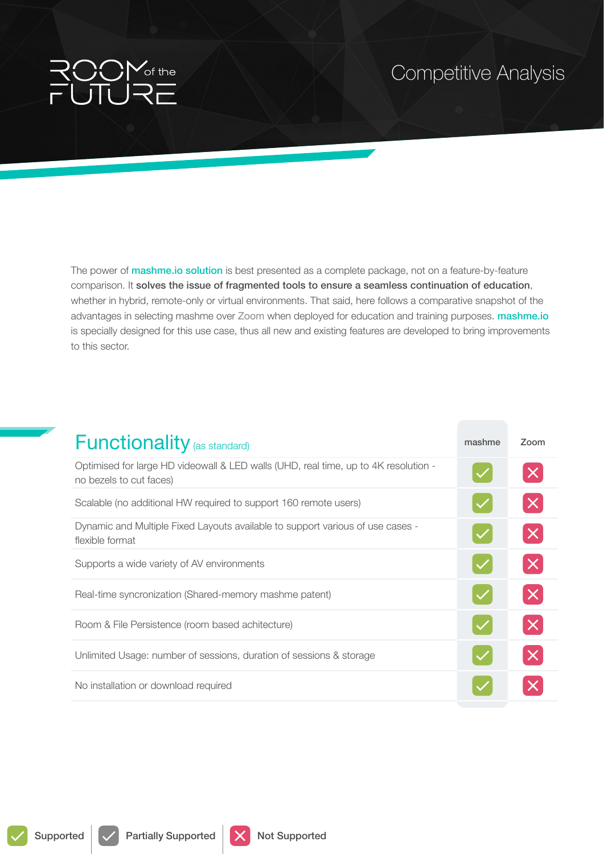

## Competitive Analysis

The power of **mashme.io solution** is best presented as a complete package, not on a feature-by-feature comparison. It solves the issue of fragmented tools to ensure a seamless continuation of education, whether in hybrid, remote-only or virtual environments. That said, here follows a comparative snapshot of the advantages in selecting mashme over Zoom when deployed for education and training purposes. mashme.io is specially designed for this use case, thus all new and existing features are developed to bring improvements to this sector.

| <b>Functionality</b> (as standard)                                                                             | mashme | Zoom     |
|----------------------------------------------------------------------------------------------------------------|--------|----------|
| Optimised for large HD videowall & LED walls (UHD, real time, up to 4K resolution -<br>no bezels to cut faces) |        |          |
| Scalable (no additional HW required to support 160 remote users)                                               |        | $\times$ |
| Dynamic and Multiple Fixed Layouts available to support various of use cases -<br>flexible format              |        |          |
| Supports a wide variety of AV environments                                                                     |        |          |
| Real-time syncronization (Shared-memory mashme patent)                                                         |        |          |
| Room & File Persistence (room based achitecture)                                                               |        |          |
| Unlimited Usage: number of sessions, duration of sessions & storage                                            |        |          |
| No installation or download required                                                                           |        |          |

Supported  $\sqrt{\phantom{a}}$  Partially Supported  $\sqrt{\phantom{a}}$  Not Supported

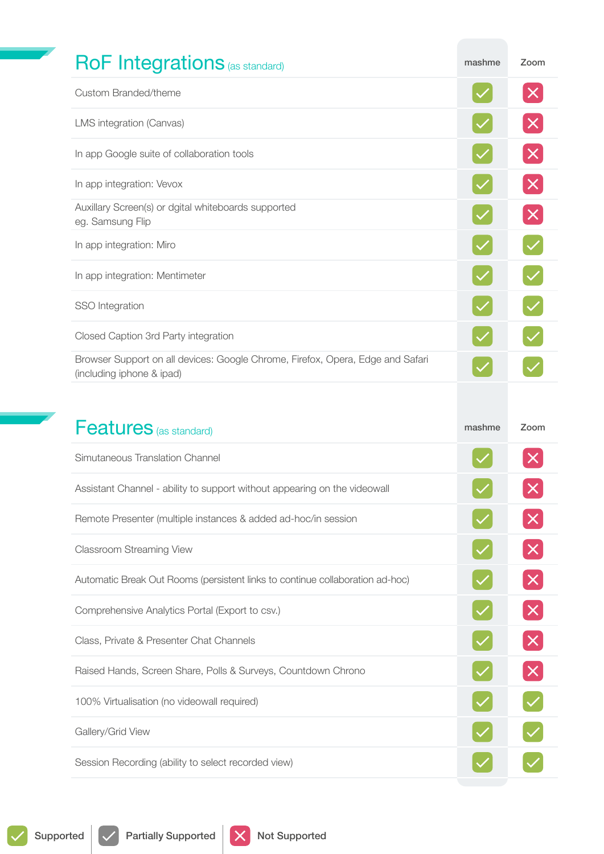| <b>RoF Integrations (as standard)</b>                                                                       | mashme | Zoom              |
|-------------------------------------------------------------------------------------------------------------|--------|-------------------|
| Custom Branded/theme                                                                                        |        | $\bm{\mathsf{X}}$ |
| LMS integration (Canvas)                                                                                    |        | $\times$          |
| In app Google suite of collaboration tools                                                                  |        | $\times$          |
| In app integration: Vevox                                                                                   |        | $\pmb{\times}$    |
| Auxillary Screen(s) or dgital whiteboards supported<br>eg. Samsung Flip                                     |        | $\times$          |
| In app integration: Miro                                                                                    |        |                   |
| In app integration: Mentimeter                                                                              |        |                   |
| SSO Integration                                                                                             |        |                   |
| Closed Caption 3rd Party integration                                                                        |        |                   |
| Browser Support on all devices: Google Chrome, Firefox, Opera, Edge and Safari<br>(including iphone & ipad) |        |                   |
|                                                                                                             |        |                   |
|                                                                                                             |        |                   |
| <b>Features</b> (as standard)                                                                               | mashme | Zoom              |
| Simutaneous Translation Channel                                                                             |        |                   |
| Assistant Channel - ability to support without appearing on the videowall                                   |        |                   |
| Remote Presenter (multiple instances & added ad-hoc/in session                                              |        |                   |
| <b>Classroom Streaming View</b>                                                                             |        |                   |
| Automatic Break Out Rooms (persistent links to continue collaboration ad-hoc)                               |        |                   |
| Comprehensive Analytics Portal (Export to csv.)                                                             |        | $\times$          |
| Class, Private & Presenter Chat Channels                                                                    |        |                   |
| Raised Hands, Screen Share, Polls & Surveys, Countdown Chrono                                               |        | $\times$          |
| 100% Virtualisation (no videowall required)                                                                 |        |                   |
| Gallery/Grid View                                                                                           |        |                   |